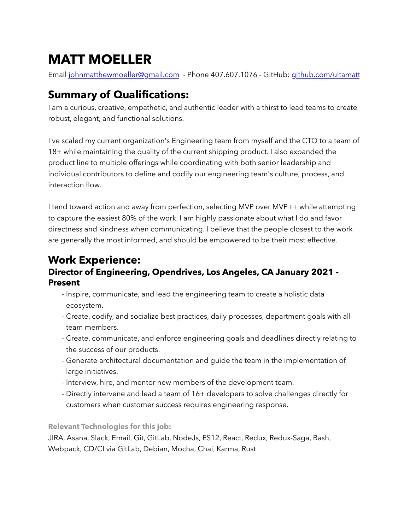# **MATT MOELLER**

Email [johnmatthewmoeller@gmail.com](mailto:johnmatthewmoeller@gmail.com) - Phone 407.607.1076 - GitHub: [github.com/](http://github.com/ultamatt)ultamatt

# **Summary of Qualifications:**

I am a curious, creative, empathetic, and authentic leader with a thirst to lead teams to create robust, elegant, and functional solutions.

I've scaled my current organization's Engineering team from myself and the CTO to a team of 18+ while maintaining the quality of the current shipping product. I also expanded the product line to multiple offerings while coordinating with both senior leadership and individual contributors to define and codify our engineering team's culture, process, and interaction flow.

I tend toward action and away from perfection, selecting MVP over MVP++ while attempting to capture the easiest 80% of the work. I am highly passionate about what I do and favor directness and kindness when communicating. I believe that the people closest to the work are generally the most informed, and should be empowered to be their most effective.

## **Work Experience: Director of Engineering, Opendrives, Los Angeles, CA January 2021 - Present**

- Inspire, communicate, and lead the engineering team to create a holistic data ecosystem.
- Create, codify, and socialize best practices, daily processes, department goals with all team members.
- Create, communicate, and enforce engineering goals and deadlines directly relating to the success of our products.
- Generate architectural documentation and guide the team in the implementation of large initiatives.
- Interview, hire, and mentor new members of the development team.
- Directly intervene and lead a team of 16+ developers to solve challenges directly for customers when customer success requires engineering response.

**Relevant Technologies for this job:**

JIRA, Asana, Slack, Email, Git, GitLab, NodeJs, ES12, React, Redux, Redux-Saga, Bash, Webpack, CD/CI via GitLab, Debian, Mocha, Chai, Karma, Rust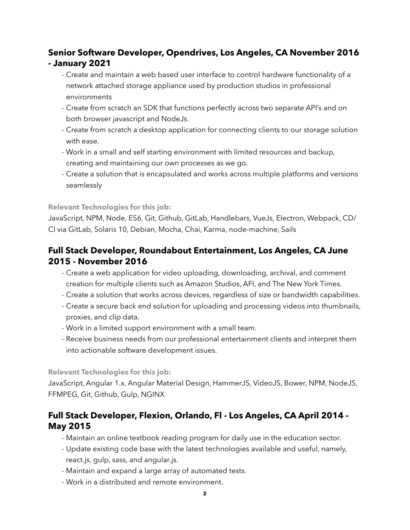### **Senior Software Developer, Opendrives, Los Angeles, CA November 2016 - January 2021**

- Create and maintain a web based user interface to control hardware functionality of a network attached storage appliance used by production studios in professional environments
- Create from scratch an SDK that functions perfectly across two separate API's and on both browser javascript and NodeJs.
- Create from scratch a desktop application for connecting clients to our storage solution with ease.
- Work in a small and self starting environment with limited resources and backup, creating and maintaining our own processes as we go.
- Create a solution that is encapsulated and works across multiple platforms and versions seamlessly

#### **Relevant Technologies for this job:**

JavaScript, NPM, Node, ES6, Git, Github, GitLab, Handlebars, VueJs, Electron, Webpack, CD/ CI via GitLab, Solaris 10, Debian, Mocha, Chai, Karma, node-machine, Sails

#### **Full Stack Developer, Roundabout Entertainment, Los Angeles, CA June 2015 - November 2016**

- Create a web application for video uploading, downloading, archival, and comment creation for multiple clients such as Amazon Studios, AFI, and The New York Times.
- Create a solution that works across devices, regardless of size or bandwidth capabilities.
- Create a secure back end solution for uploading and processing videos into thumbnails, proxies, and clip data.
- Work in a limited support environment with a small team.
- Receive business needs from our professional entertainment clients and interpret them into actionable software development issues.

#### **Relevant Technologies for this job:**

JavaScript, Angular 1.x, Angular Material Design, HammerJS, VideoJS, Bower, NPM, NodeJS, FFMPEG, Git, Github, Gulp, NGINX

#### **Full Stack Developer, Flexion, Orlando, Fl - Los Angeles, CA April 2014 - May 2015**

- Maintain an online textbook reading program for daily use in the education sector.
- Update existing code base with the latest technologies available and useful, namely, react.js, gulp, sass, and angular.js.
- Maintain and expand a large array of automated tests.
- Work in a distributed and remote environment.